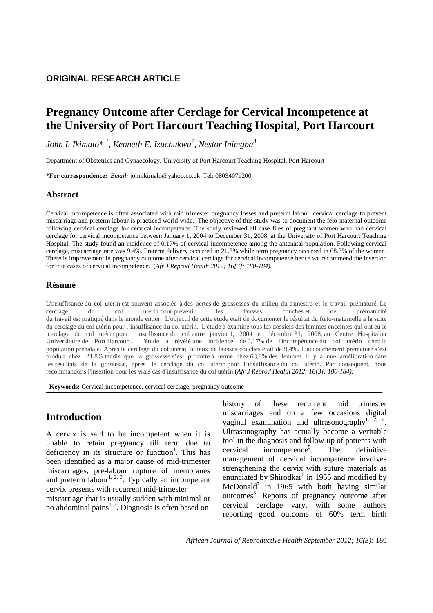### **ORIGINAL RESEARCH ARTICLE**

# **Pregnancy Outcome after Cerclage for Cervical Incompetence at the University of Port Harcourt Teaching Hospital, Port Harcourt**

*John I. Ikimalo\* <sup>1</sup> , Kenneth E. Izuchukwu<sup>2</sup> , Nestor Inimgba<sup>3</sup>* 

Department of Obstetrics and Gynaecology, University of Port Harcourt Teaching Hospital, Port Harcourt

\***For correspondence:** *Email:* johnikimalo@yahoo.co.uk Tel: 08034071200

#### **Abstract**

Cervical incompetence is often associated with mid trimester pregnancy losses and preterm labour. cervical cerclage to prevent miscarriage and preterm labour is practiced world wide. The objective of this study was to document the feto-maternal outcome following cervical cerclage for cervical incompetence. The study reviewed all case files of pregnant women who had cervical cerclage for cervical incompetence between January 1, 2004 to December 31, 2008, at the University of Port Harcourt Teaching Hospital. The study found an incidence of 0.17% of cervical incompetence among the antenatal population. Following cervical cerclage, miscarriage rate was 9.4%. Preterm delivery occurred in 21.8% while term pregnancy occurred in 68.8% of the women. There is improvement in pregnancy outcome after cervical cerclage for cervical incompetence hence we recommend the insertion for true cases of cervical incompetence. (*Afr J Reprod Health 2012; 16[3]: 180-184).*

#### **Résumé**

L'insuffisance du col utérin est souvent associée à des pertes de grossesses du milieu du trimestre et le travail prématuré. Le cerclage du col utérin pour prévenir les fausses couches et de prématurité du travail est pratiqué dans le monde entier. L'objectif de cette étude était de documenter le résultat du fœto-maternelle à la suite du cerclage du col utérin pour l'insuffisance du col utérin. L'étude a examiné tous les dossiers des femmes enceintes qui ont eu le cerclage du col utérin pour l'insuffisance du col entre janvier 1, 2004 et décembre 31, 2008, au Centre Hospitalier Universitaire de Port Harcourt. L'étude a révélé une incidence de 0,17% de l'incompétence du col utérin chez la population prénatale. Après le cerclage du col utérin, le taux de fausses couches était de 9,4%. L'accouchement prématuré s'est produit chez 21,8% tandis que la grossesse s'est produite à terme chez 68,8% des femmes. Il y a une amélioration dans les résultats de la grossesse, après le cerclage du col utérin pour l'insuffisance du col utérin. Par conséquent, nous recommandons l'insertion pour les vrais cas d'insuffisance du col utérin (*Afr J Reprod Health 2012; 16[3]: 180-184).*

 **Keywords:** Cervical incompetence, cervical cerclage, pregnancy outcome

## **Introduction**

A cervix is said to be incompetent when it is unable to retain pregnancy till term due to deficiency in its structure or function<sup>1</sup>. This has been identified as a major cause of mid-trimester miscarriages, pre-labour rupture of membranes and preterm labour<sup>1, 2, 3</sup>. Typically an incompetent cervix presents with recurrent mid-trimester

miscarriage that is usually sudden with minimal or no abdominal pains $1, 2$ . Diagnosis is often based on

history of these recurrent mid trimester miscarriages and on a few occasions digital vaginal examination and ultrasonography<sup>1,  $\frac{1}{2}$ ,  $\frac{4}{1}$ .</sup> Ultrasonography has actually become a veritable tool in the diagnosis and follow-up of patients with  $c$ ervical incompetence<sup>5</sup>. . The definitive management of cervical incompetence involves strengthening the cervix with suture materials as enunciated by Shirodkar<sup>6</sup> in 1955 and modified by McDonald<sup>7</sup> in 1965 with both having similar outcomes<sup>8</sup>. Reports of pregnancy outcome after cervical cerclage vary, with some authors reporting good outcome of 60% term birth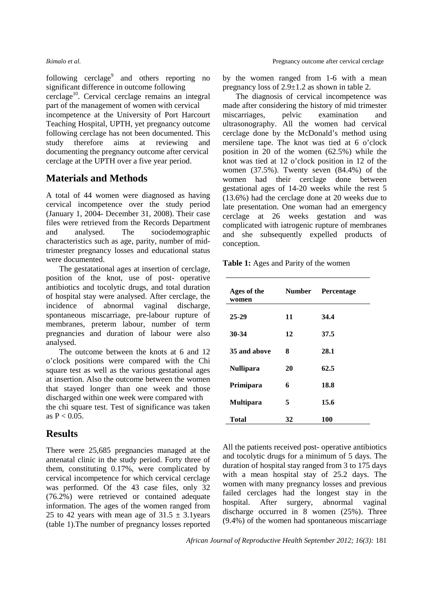following cerclage<sup>9</sup> and others reporting no significant difference in outcome following cerclage<sup>10</sup>. Cervical cerclage remains an integral

part of the management of women with cervical incompetence at the University of Port Harcourt Teaching Hospital, UPTH, yet pregnancy outcome following cerclage has not been documented. This study therefore aims at reviewing and documenting the pregnancy outcome after cervical cerclage at the UPTH over a five year period.

## **Materials and Methods**

A total of 44 women were diagnosed as having cervical incompetence over the study period (January 1, 2004- December 31, 2008). Their case files were retrieved from the Records Department and analysed. The sociodemographic characteristics such as age, parity, number of midtrimester pregnancy losses and educational status were documented.

The gestatational ages at insertion of cerclage, position of the knot, use of post- operative antibiotics and tocolytic drugs, and total duration of hospital stay were analysed. After cerclage, the incidence of abnormal vaginal discharge, spontaneous miscarriage, pre-labour rupture of membranes, preterm labour, number of term pregnancies and duration of labour were also analysed.

The outcome between the knots at 6 and 12 o'clock positions were compared with the Chi square test as well as the various gestational ages at insertion. Also the outcome between the women that stayed longer than one week and those discharged within one week were compared with the chi square test. Test of significance was taken as  $P < 0.05$ .

### **Results**

There were 25,685 pregnancies managed at the antenatal clinic in the study period. Forty three of them, constituting 0.17%, were complicated by cervical incompetence for which cervical cerclage was performed. Of the 43 case files, only 32 (76.2%) were retrieved or contained adequate information. The ages of the women ranged from 25 to 42 years with mean age of  $31.5 \pm 3.1$  years (table 1).The number of pregnancy losses reported by the women ranged from 1-6 with a mean pregnancy loss of 2.9±1.2 as shown in table 2.

The diagnosis of cervical incompetence was made after considering the history of mid trimester miscarriages, pelvic examination and ultrasonography. All the women had cervical cerclage done by the McDonald's method using mersilene tape. The knot was tied at 6 o'clock position in 20 of the women (62.5%) while the knot was tied at 12 o'clock position in 12 of the women (37.5%). Twenty seven (84.4%) of the women had their cerclage done between gestational ages of 14-20 weeks while the rest 5 (13.6%) had the cerclage done at 20 weeks due to late presentation. One woman had an emergency cerclage at 26 weeks gestation and was complicated with iatrogenic rupture of membranes and she subsequently expelled products of conception.

| Table 1: Ages and Parity of the women |  |  |  |  |  |  |
|---------------------------------------|--|--|--|--|--|--|
|---------------------------------------|--|--|--|--|--|--|

| Ages of the<br>women | <b>Number</b> | <b>Percentage</b> |
|----------------------|---------------|-------------------|
| 25-29                | 11            | 34.4              |
| 30-34                | 12            | 37.5              |
| 35 and above         | 8             | 28.1              |
| <b>Nullipara</b>     | 20            | 62.5              |
| Primipara            | 6             | 18.8              |
| <b>Multipara</b>     | 5             | 15.6              |
| <b>Total</b>         | 32            | 100               |

All the patients received post- operative antibiotics and tocolytic drugs for a minimum of 5 days. The duration of hospital stay ranged from 3 to 175 days with a mean hospital stay of 25.2 days. The women with many pregnancy losses and previous failed cerclages had the longest stay in the hospital. After surgery, abnormal vaginal discharge occurred in 8 women (25%). Three (9.4%) of the women had spontaneous miscarriage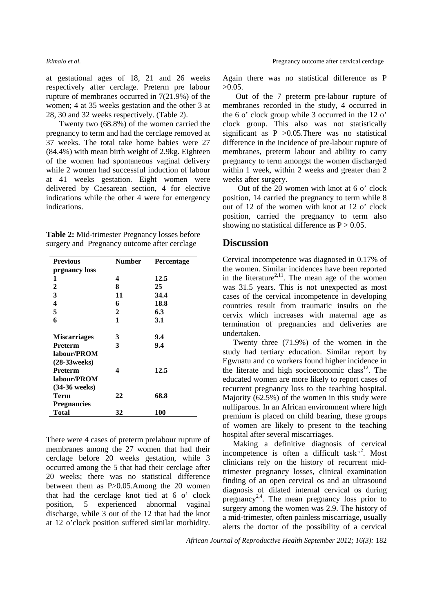at gestational ages of 18, 21 and 26 weeks respectively after cerclage. Preterm pre labour rupture of membranes occurred in 7(21.9%) of the women; 4 at 35 weeks gestation and the other 3 at 28, 30 and 32 weeks respectively. (Table 2).

Twenty two (68.8%) of the women carried the pregnancy to term and had the cerclage removed at 37 weeks. The total take home babies were 27 (84.4%) with mean birth weight of 2.9kg. Eighteen of the women had spontaneous vaginal delivery while 2 women had successful induction of labour at 41 weeks gestation. Eight women were delivered by Caesarean section, 4 for elective indications while the other 4 were for emergency indications.

| Table 2: Mid-trimester Pregnancy losses before |  |  |
|------------------------------------------------|--|--|
| surgery and Pregnancy outcome after cerclage   |  |  |

| <b>Previous</b>                | <b>Number</b> | <b>Percentage</b> |
|--------------------------------|---------------|-------------------|
| prgnancy loss                  |               |                   |
| 1                              | 4             | 12.5              |
| 2                              | 8             | 25                |
| 3                              | 11            | 34.4              |
| $\overline{\mathbf{4}}$        | 6             | 18.8              |
| 5                              | 2             | 6.3               |
| 6                              | 1             | 3.1               |
| <b>Miscarriages</b>            | 3             | 9.4               |
| <b>Preterm</b>                 | 3             | 9.4               |
| labour/PROM<br>$(28-33$ weeks) |               |                   |
| <b>Preterm</b>                 | 4             | 12.5              |
| labour/PROM                    |               |                   |
| $(34-36$ weeks)                |               |                   |
| Term                           | 22            | 68.8              |
| <b>Pregnancies</b>             |               |                   |
| Total                          | 32            | 100               |

There were 4 cases of preterm prelabour rupture of membranes among the 27 women that had their cerclage before 20 weeks gestation, while 3 occurred among the 5 that had their cerclage after 20 weeks; there was no statistical difference between them as P>0.05.Among the 20 women that had the cerclage knot tied at 6 o' clock position, 5 experienced abnormal vaginal discharge, while 3 out of the 12 that had the knot at 12 o'clock position suffered similar morbidity. Again there was no statistical difference as P  $>0.05$ .

Out of the 7 preterm pre-labour rupture of membranes recorded in the study, 4 occurred in the 6 o' clock group while 3 occurred in the 12 o' clock group. This also was not statistically significant as  $P > 0.05$ . There was no statistical difference in the incidence of pre-labour rupture of membranes, preterm labour and ability to carry pregnancy to term amongst the women discharged within 1 week, within 2 weeks and greater than 2 weeks after surgery.

 Out of the 20 women with knot at 6 o' clock position, 14 carried the pregnancy to term while 8 out of 12 of the women with knot at 12 o' clock position, carried the pregnancy to term also showing no statistical difference as  $P > 0.05$ .

#### **Discussion**

Cervical incompetence was diagnosed in 0.17% of the women. Similar incidences have been reported in the literature<sup>2,11</sup>. The mean age of the women was 31.5 years. This is not unexpected as most cases of the cervical incompetence in developing countries result from traumatic insults on the cervix which increases with maternal age as termination of pregnancies and deliveries are undertaken.

Twenty three (71.9%) of the women in the study had tertiary education. Similar report by Egwuatu and co workers found higher incidence in the literate and high socioeconomic class<sup>12</sup>. The educated women are more likely to report cases of recurrent pregnancy loss to the teaching hospital. Majority (62.5%) of the women in this study were nulliparous. In an African environment where high premium is placed on child bearing, these groups of women are likely to present to the teaching hospital after several miscarriages.

Making a definitive diagnosis of cervical incompetence is often a difficult task<sup>1,2</sup>. Most clinicians rely on the history of recurrent midtrimester pregnancy losses, clinical examination finding of an open cervical os and an ultrasound diagnosis of dilated internal cervical os during pregnancy<sup>2,4</sup>. The mean pregnancy loss prior to surgery among the women was 2.9. The history of a mid-trimester, often painless miscarriage, usually alerts the doctor of the possibility of a cervical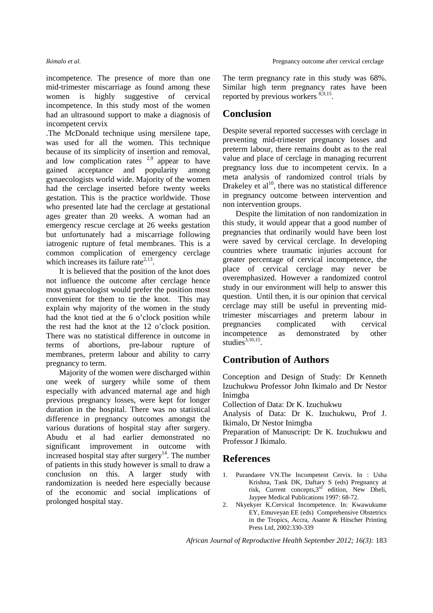incompetence. The presence of more than one mid-trimester miscarriage as found among these women is highly suggestive of cervical incompetence. In this study most of the women had an ultrasound support to make a diagnosis of incompetent cervix

.The McDonald technique using mersilene tape, was used for all the women. This technique because of its simplicity of insertion and removal, and low complication rates  $2.9$  appear to have gained acceptance and popularity among gynaecologists world wide. Majority of the women had the cerclage inserted before twenty weeks gestation. This is the practice worldwide. Those who presented late had the cerclage at gestational ages greater than 20 weeks. A woman had an emergency rescue cerclage at 26 weeks gestation but unfortunately had a miscarriage following iatrogenic rupture of fetal membranes. This is a common complication of emergency cerclage which increases its failure rate<sup> $2,13$ </sup>.

It is believed that the position of the knot does not influence the outcome after cerclage hence most gynaecologist would prefer the position most convenient for them to tie the knot. This may explain why majority of the women in the study had the knot tied at the 6 o'clock position while the rest had the knot at the 12 o'clock position. There was no statistical difference in outcome in terms of abortions, pre-labour rupture of membranes, preterm labour and ability to carry pregnancy to term.

Majority of the women were discharged within one week of surgery while some of them especially with advanced maternal age and high previous pregnancy losses, were kept for longer duration in the hospital. There was no statistical difference in pregnancy outcomes amongst the various durations of hospital stay after surgery. Abudu et al had earlier demonstrated no significant improvement in outcome with increased hospital stay after surgery<sup>14</sup>. The number of patients in this study however is small to draw a conclusion on this. A larger study with randomization is needed here especially because of the economic and social implications of prolonged hospital stay.

The term pregnancy rate in this study was 68%. Similar high term pregnancy rates have been reported by previous workers <sup>8,9,15</sup>.

## **Conclusion**

Despite several reported successes with cerclage in preventing mid-trimester pregnancy losses and preterm labour, there remains doubt as to the real value and place of cerclage in managing recurrent pregnancy loss due to incompetent cervix. In a meta analysis of randomized control trials by Drakeley et  $al^{10}$ , there was no statistical difference in pregnancy outcome between intervention and non intervention groups.

Despite the limitation of non randomization in this study, it would appear that a good number of pregnancies that ordinarily would have been lost were saved by cervical cerclage. In developing countries where traumatic injuries account for greater percentage of cervical incompetence, the place of cervical cerclage may never be overemphasized. However a randomized control study in our environment will help to answer this question. Until then, it is our opinion that cervical cerclage may still be useful in preventing midtrimester miscarriages and preterm labour in pregnancies complicated with cervical incompetence as demonstrated by other studies $3,10,15$ .

## **Contribution of Authors**

Conception and Design of Study: Dr Kenneth Izuchukwu Professor John Ikimalo and Dr Nestor Inimgba

Collection of Data: Dr K. Izuchukwu

Analysis of Data: Dr K. Izuchukwu, Prof J. Ikimalo, Dr Nestor Inimgba

Preparation of Manuscript: Dr K. Izuchukwu and Professor J Ikimalo.

## **References**

- 1. Purandaree VN.The Incompetent Cervix. In : Usha Krishna, Tank DK, Daftary S (eds) Pregnancy at risk, Current concepts, 3<sup>rd</sup> edition, New Dheli, Jaypee Medical Publications 1997: 68-72.
- 2. Nkyekyer K.Cervical Incompetence. In: Kwawukume EY, Emuveyan EE (eds) Comprehensive Obstetrics in the Tropics, Accra, Asante & Hitscher Printing Press Ltd, 2002:330-339